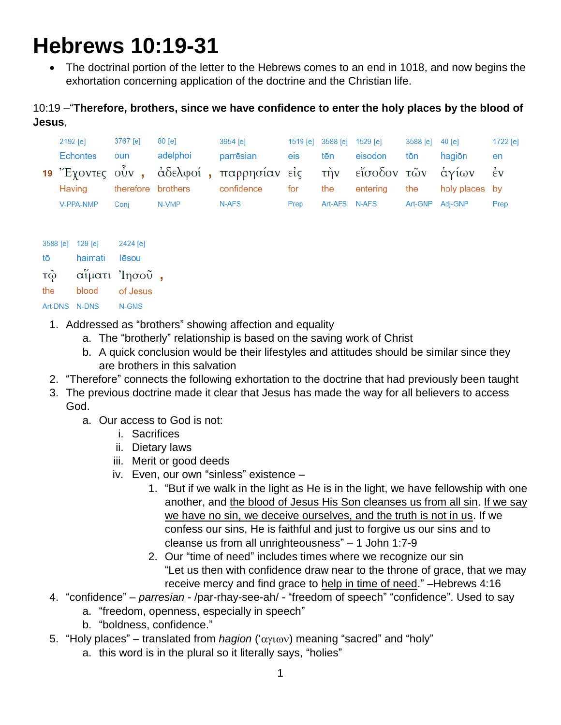# **Hebrews 10:19-31**

• The doctrinal portion of the letter to the Hebrews comes to an end in 1018, and now begins the exhortation concerning application of the doctrine and the Christian life.

# 10:19 –"**Therefore, brothers, since we have confidence to enter the holy places by the blood of Jesus**,

| 2192 [e]  | 3767 [e] | 80 [e]                    | 3954 [e]                                                        |         |               | 1519 [e] 3588 [e] 1529 [e] | 3588 [e] 40 [e] |                 | $1722$ [e] |
|-----------|----------|---------------------------|-----------------------------------------------------------------|---------|---------------|----------------------------|-----------------|-----------------|------------|
| Echontes  | oun      | adelphoi                  | parrēsian                                                       | eis and |               | tēn eisodon                | tōn             | hagiōn          | en         |
|           |          |                           | 19 Έχοντες ούν, άδελφοί, παρρησίαν είς την είσοδον τών άγίων έν |         |               |                            |                 |                 |            |
|           |          | Having therefore brothers | confidence for the                                              |         |               | entering                   | the             | holy places by  |            |
| V-PPA-NMP | Coni     | N-VMP                     | N-AFS                                                           | Prep    | Art-AFS N-AFS |                            |                 | Art-GNP Adj-GNP | Prep       |

| 3588 [e]      | $129$ [e]    | 2424 [e] |                          |
|---------------|--------------|----------|--------------------------|
| tō            | haimati      | lēsou    |                          |
| τῷ            | αἵματι Ίησοῦ |          | $\overline{\phantom{a}}$ |
| the           | blood        | of Jesus |                          |
| Art-DNS N-DNS |              | N-GMS    |                          |

- 1. Addressed as "brothers" showing affection and equality
	- a. The "brotherly" relationship is based on the saving work of Christ
	- b. A quick conclusion would be their lifestyles and attitudes should be similar since they are brothers in this salvation
- 2. "Therefore" connects the following exhortation to the doctrine that had previously been taught
- 3. The previous doctrine made it clear that Jesus has made the way for all believers to access God.
	- a. Our access to God is not:
		- i. Sacrifices
		- ii. Dietary laws
		- iii. Merit or good deeds
		- iv. Even, our own "sinless" existence
			- 1. "But if we walk in the light as He is in the light, we have fellowship with one another, and the blood of Jesus His Son cleanses us from all sin. If we say we have no sin, we deceive ourselves, and the truth is not in us. If we confess our sins, He is faithful and just to forgive us our sins and to cleanse us from all unrighteousness" – 1 John 1:7-9
			- 2. Our "time of need" includes times where we recognize our sin "Let us then with confidence draw near to the throne of grace, that we may receive mercy and find grace to help in time of need." –Hebrews 4:16
- 4. "confidence" *parresian* /par-rhay-see-ah/ "freedom of speech" "confidence". Used to say
	- a. "freedom, openness, especially in speech"
	- b. "boldness, confidence."
- 5. "Holy places" translated from *hagion* (' $\alpha\gamma\iota\omega\gamma$ ) meaning "sacred" and "holy"
	- a. this word is in the plural so it literally says, "holies"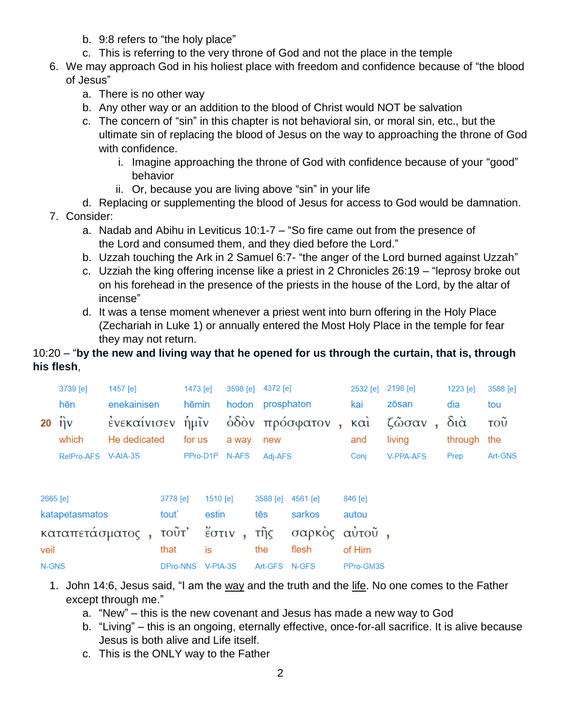- b. 9:8 refers to "the holy place"
- c. This is referring to the very throne of God and not the place in the temple
- 6. We may approach God in his holiest place with freedom and confidence because of "the blood of Jesus"
	- a. There is no other way
	- b. Any other way or an addition to the blood of Christ would NOT be salvation
	- c. The concern of "sin" in this chapter is not behavioral sin, or moral sin, etc., but the ultimate sin of replacing the blood of Jesus on the way to approaching the throne of God with confidence.
		- i. Imagine approaching the throne of God with confidence because of your "good" behavior
		- ii. Or, because you are living above "sin" in your life
	- d. Replacing or supplementing the blood of Jesus for access to God would be damnation.
- 7. Consider:
	- a. Nadab and Abihu in Leviticus 10:1-7 "So fire came out from the presence of the Lord and consumed them, and they died before the Lord."
	- b. Uzzah touching the Ark in 2 Samuel 6:7- "the anger of the Lord burned against Uzzah"
	- c. Uzziah the king offering incense like a priest in 2 Chronicles 26:19 "leprosy broke out on his forehead in the presence of the priests in the house of the Lord, by the altar of incense"
	- d. It was a tense moment whenever a priest went into burn offering in the Holy Place (Zechariah in Luke 1) or annually entered the Most Holy Place in the temple for fear they may not return.

# 10:20 – "**by the new and living way that he opened for us through the curtain, that is, through his flesh**,

|          | 3739 [e]        | 1457 [e]                    |          | 1473 [e]       | 3598 [e]                 | 4372 [e]         |                   |            | 2532 [e] 2198 [e]           | 1223 [e] | 3588 [e]   |
|----------|-----------------|-----------------------------|----------|----------------|--------------------------|------------------|-------------------|------------|-----------------------------|----------|------------|
|          | hēn             | enekainisen                 |          | hēmin          |                          | hodon prosphaton |                   | kai        | zōsan                       | dia      | tou        |
| 20       | ີກ $ν$<br>which | ένεκαίνισεν<br>He dedicated |          | ήμῖν<br>for us | a way                    | new              | όδὸν πρόσφατον,   | καὶ<br>and | $\zeta$ ὦσαν, διά<br>living | through  | τοῦ<br>the |
|          | RelPro-AFS      | V-AIA-3S                    |          | PPro-D1P N-AFS |                          | Adj-AFS          |                   | Conj       | V-PPA-AFS                   | Prep     | Art-GNS    |
|          |                 |                             |          |                |                          |                  |                   |            |                             |          |            |
| 2665 [e] |                 |                             | 3778 [e] | 1510 [e]       |                          |                  | 3588 [e] 4561 [e] | 846 [e]    |                             |          |            |
|          | katapetasmatos  |                             | tout'    | estin          |                          | tēs              | sarkos            | autou      |                             |          |            |
|          |                 | καταπετάσματος,             | τοῦτ'    |                | $\check{\epsilon}$ στιν, | τῆς              | σαρκὸς αὐτοῦ,     |            |                             |          |            |
| veil     |                 |                             | that     | is             |                          | the              | flesh             | of Him     |                             |          |            |
| N-GNS    |                 |                             | DPro-NNS | V-PIA-3S       |                          | Art-GFS N-GFS    |                   | PPro-GM3S  |                             |          |            |

- 1. John 14:6, Jesus said, "I am the way and the truth and the life. No one comes to the Father except through me."
	- a. "New" this is the new covenant and Jesus has made a new way to God
	- b. "Living" this is an ongoing, eternally effective, once-for-all sacrifice. It is alive because Jesus is both alive and Life itself.
	- c. This is the ONLY way to the Father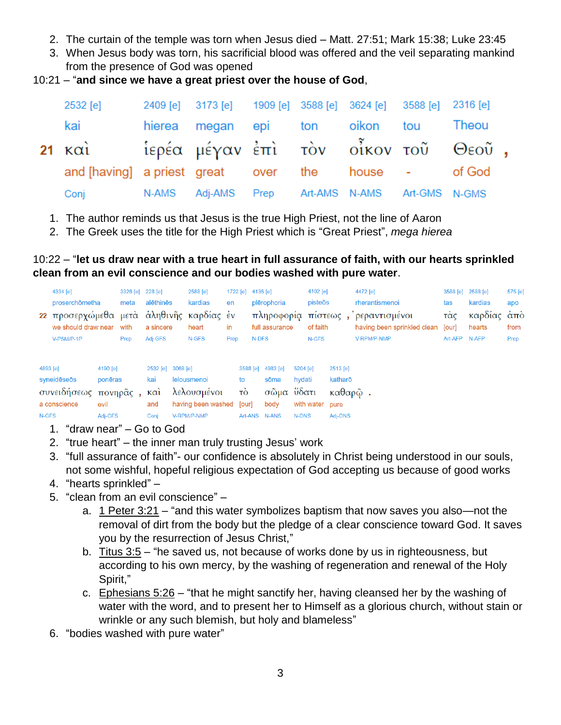- 2. The curtain of the temple was torn when Jesus died Matt. 27:51; Mark 15:38; Luke 23:45
- 3. When Jesus body was torn, his sacrificial blood was offered and the veil separating mankind from the presence of God was opened
- 10:21 "**and since we have a great priest over the house of God**,

| 2532 [e]                                            | 2409 [e] 3173 [e] 1909 [e] 3588 [e] 3624 [e] 3588 [e] 2316 [e] |  |  |  |
|-----------------------------------------------------|----------------------------------------------------------------|--|--|--|
| kai                                                 | hierea megan epi ton oikon tou Theou                           |  |  |  |
| 21 και Μερέα μέγαν έπι τον οίκον του Θεού,          |                                                                |  |  |  |
| and [having] a priest great over the house - of God |                                                                |  |  |  |
| Conj N-AMS Adj-AMS Prep Art-AMS N-AMS Art-GMS N-GMS |                                                                |  |  |  |

1. The author reminds us that Jesus is the true High Priest, not the line of Aaron

Conj V-RPM/P-NMP Art-ANS N-ANS N-DNS Adj-DNS

2. The Greek uses the title for the High Priest which is "Great Priest", *mega hierea*

10:22 – "**let us draw near with a true heart in full assurance of faith, with our hearts sprinkled clean from an evil conscience and our bodies washed with pure water**.

|          | 4334 [e]                                 |          | 3326 [e] 228 [e] |                   | 2588 [e]    | 1722 [e] 4136 [e] |       |                     |          | 4102 [e] |          | 4472 [e]                    | 3588 [e]      | 2588 [e]    | 575 [e] |
|----------|------------------------------------------|----------|------------------|-------------------|-------------|-------------------|-------|---------------------|----------|----------|----------|-----------------------------|---------------|-------------|---------|
|          | proserchömetha                           |          | meta             | alēthinēs         | kardias     | en                |       | plērophoria         |          | pisteōs  |          | rherantismenoi              | tas           | kardias     | apo     |
|          | 22 προσερχώμεθα μετά άληθινης καρδίας έν |          |                  |                   |             |                   |       | πληροφορία πίστεως, |          |          |          | ρεραντισμένοι               | τάς           | καρδίας άπὸ |         |
|          | we should draw near                      |          | with             | a sincere         | heart       | in                |       | full assurance      |          | of faith |          | having been sprinkled clean | [our]         | hearts      | from    |
|          | V-PSM/P-1P                               |          | Prep             | Adj-GFS           | N-GFS       | Prep              | N-DFS |                     |          | N-GFS    |          | V-RPM/P-NMP                 | Art-AFP N-AFP |             | Prep    |
|          |                                          |          |                  |                   |             |                   |       |                     |          |          |          |                             |               |             |         |
| 4893 [e] |                                          | 4190 [e] |                  | 2532 [e] 3068 [e] |             |                   |       | 3588 [e] 4983 [e]   | 5204 [e] |          | 2513 [e] |                             |               |             |         |
|          | syneideseos                              | ponēras  |                  | kai               | lelousmenoi | to                |       | sōma                | hydati   |          | katharō  |                             |               |             |         |
|          | συνειδήσεως πονηρᾶς, και λελουσμένοι     |          |                  |                   |             | $\vec{10}$        |       | σῶμα ὕδατι          |          |          | καθαρῷ.  |                             |               |             |         |

- 1. "draw near" Go to God
- 2. "true heart" the inner man truly trusting Jesus' work

a conscience evil and having been washed [our] body with water pure<br>N-GFS Adj-GFS Conj V-RPM/P-NMP Art-ANS N-ANS N-DNS Adj-DN

- 3. "full assurance of faith"- our confidence is absolutely in Christ being understood in our souls, not some wishful, hopeful religious expectation of God accepting us because of good works
- 4. "hearts sprinkled" –
- 5. "clean from an evil conscience"
	- a. 1 Peter 3:21 "and this water symbolizes baptism that now saves you also—not the removal of dirt from the body but the pledge of a clear conscience toward God. It saves you by the resurrection of Jesus Christ,"
	- b. Titus 3:5 "he saved us, not because of works done by us in righteousness, but according to his own mercy, by the washing of regeneration and renewal of the Holy Spirit,"
	- c. Ephesians  $5:26$  "that he might sanctify her, having cleansed her by the washing of water with the word, and to present her to Himself as a glorious church, without stain or wrinkle or any such blemish, but holy and blameless"
- 6. "bodies washed with pure water"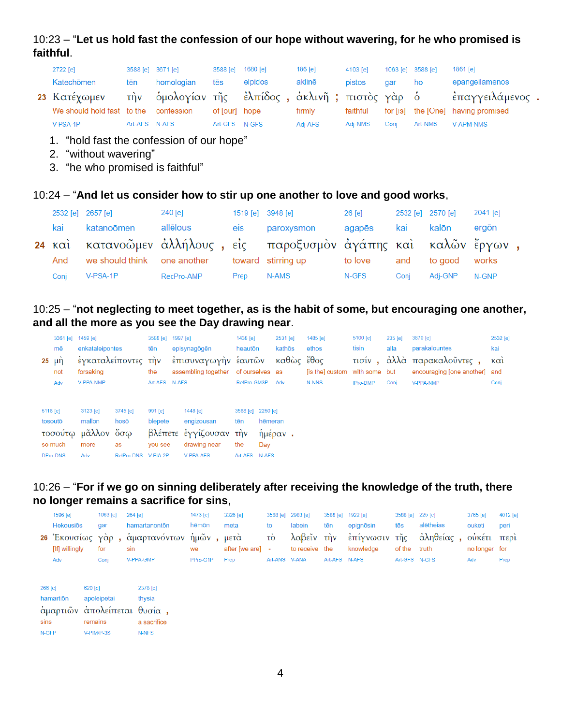# 10:23 – "**Let us hold fast the confession of our hope without wavering, for he who promised is faithful**.

| 2722 [e]                   |               | 3588 [e] 3671 [e]                                 | 3588 [e] 1680 [e] |         | $186$ [e] | $4103$ [e] | $1063$ [e] $3588$ [e] |         | 1861 [e]                           |
|----------------------------|---------------|---------------------------------------------------|-------------------|---------|-----------|------------|-----------------------|---------|------------------------------------|
| Katechōmen                 | tēn           | homologian                                        | tēs               | elpidos | aklinē    | pistos     | dar                   | ho      | epangeilamenos                     |
| 23 Κατέχωμεν               |               | τὴν ὁμολογίαν τῆς ἐλπίδος , ἀκλινῆ ; πιστὸς γὰρ ὁ |                   |         |           |            |                       |         | έπαγγειλάμενος.                    |
| We should hold fast to the |               | confession                                        | of [our] hope     |         | firmly    | faithful   |                       |         | for [is] the [One] having promised |
| V-PSA-1P                   | Art-AFS N-AFS |                                                   | Art-GFS N-GFS     |         | Adi-AFS   | Adi-NMS    | Conj                  | Art-NMS | V-APM-NMS                          |

- 1. "hold fast the confession of our hope"
- 2. "without wavering"
- 3. "he who promised is faithful"

#### 10:24 – "**And let us consider how to stir up one another to love and good works**,

| 2532 [e] 2657 [e] |                                                | 240 [e]    | 1519 [e] $3948$ [e] |                                                                    | 26 [e]  | 2532 [e] 2570 [e] |               | 2041 [e] |  |
|-------------------|------------------------------------------------|------------|---------------------|--------------------------------------------------------------------|---------|-------------------|---------------|----------|--|
| kai               | katanoōmen                                     | allēlous   | eis                 | paroxysmon                                                         | agapēs  | kai               | kalōn         | ergōn    |  |
|                   |                                                |            |                     | 24 και κατανοῶμεν ἀλλήλους, εἰς παροξυσμον ἀγάπης και καλῶν ἔργων, |         |                   |               |          |  |
| And               | we should think one another toward stirring up |            |                     |                                                                    | to love | and               | to good works |          |  |
| Conj              | V-PSA-1P                                       | RecPro-AMP | Prep                | N-AMS                                                              | N-GFS   | Coni              | Adi-GNP       | N-GNP    |  |

# 10:25 – "**not neglecting to meet together, as is the habit of some, but encouraging one another, and all the more as you see the Day drawing near**.

|                 | 3361 [e] 1459 [e]  |                     | 3588 [e]      | 1997 [e]                            | 1438 [e]          |         | 2531 [e]   | 1485 $[e]$                    | 5100 [e]        | 235 [e] | 3870 [e]                      | 2532 [e]          |
|-----------------|--------------------|---------------------|---------------|-------------------------------------|-------------------|---------|------------|-------------------------------|-----------------|---------|-------------------------------|-------------------|
| mē              | enkataleipontes    |                     | tēn           | episynagögen                        | heautōn           |         | kathōs     | ethos                         | tisin           | alla    | parakalountes                 | kai               |
| $25 \mu \eta$   |                    | έγκαταλείποντες την |               | έπισυναγωγήν έαυτῶν                 |                   |         | καθὼς ἔθος |                               |                 |         | τισίν, άλλά παρακαλοῦντες,    | $\kappa$ $\alpha$ |
| not             | forsaking          |                     | the           | assembling together of ourselves as |                   |         |            | [is the] custom with some but |                 |         | encouraging [one another] and |                   |
| Adv             | <b>V-PPA-NMP</b>   |                     | Art-AFS N-AFS |                                     | RefPro-GM3P       |         | Adv        | N-NNS                         | <b>IPro-DMP</b> | Conj    | <b>V-PPA-NMP</b>              | Conj              |
|                 |                    |                     |               |                                     |                   |         |            |                               |                 |         |                               |                   |
| 5118 [e]        | 3123 [e]           | $3745$ [e]          | 991 [e]       | 1448 [e]                            | 3588 [e] 2250 [e] |         |            |                               |                 |         |                               |                   |
| tosoutō         | mallon             | hosō                | blepete       | engizousan                          | tēn               | hēmeran |            |                               |                 |         |                               |                   |
|                 | τοσούτω μᾶλλον ὅσω |                     |               | βλέπετε έγγίζουσαν την              |                   |         | ήμέραν.    |                               |                 |         |                               |                   |
| so much         | more               | as                  | you see       | drawing near                        | the               | Day     |            |                               |                 |         |                               |                   |
| <b>DPro-DNS</b> | Adv                | RelPro-DNS V-PIA-2P |               | <b>V-PPA-AFS</b>                    | Art-AFS N-AFS     |         |            |                               |                 |         |                               |                   |
|                 |                    |                     |               |                                     |                   |         |            |                               |                 |         |                               |                   |

#### 10:26 – "**For if we go on sinning deliberately after receiving the knowledge of the truth, there no longer remains a sacrifice for sins**,

|                          | 1596 [e]         |                      | 1063 [e]                  | 264 [e]                                                                   | 1473 [e] | 3326 [e]         |               | 3588 [e] 2983 [e]            |               | 3588 [e] 1922 [e] | 3588 [e] 225 [e] |                         | 3765 [e]                     | 4012 [e] |
|--------------------------|------------------|----------------------|---------------------------|---------------------------------------------------------------------------|----------|------------------|---------------|------------------------------|---------------|-------------------|------------------|-------------------------|------------------------------|----------|
|                          | <b>Hekousios</b> |                      | gar                       | hamartanontōn                                                             | hēmōn    | meta             | to            | labein                       | tēn           | epignösin         | tēs              | alētheias               | ouketi                       | peri     |
|                          | [If] willingly   |                      | for                       | 26 Έκουσίως γάρ, άμαρτανόντων ήμων, μετά<br>sin                           | we       | after [we are] - | $\vec{10}$    | λαβεῖν τὴν<br>to receive the |               | knowledge         | of the truth     | έπίγνωσιν τῆς ἀληθείας, | οὐκέτι περὶ<br>no longer for |          |
|                          | Adv              |                      | Conj                      | V-PPA-GMP                                                                 | PPro-G1P | Prep             | Art-ANS V-ANA |                              | Art-AFS N-AFS |                   | Art-GFS N-GFS    |                         | Adv                          | Prep     |
| 266 [e]<br>sins<br>N-GFP | hamartion        | $620$ [e]<br>remains | apoleipetai<br>V-PIM/P-3S | 2378 [e]<br>thysia<br>άμαρτιῶν ἀπολείπεται θυσία,<br>a sacrifice<br>N-NFS |          |                  |               |                              |               |                   |                  |                         |                              |          |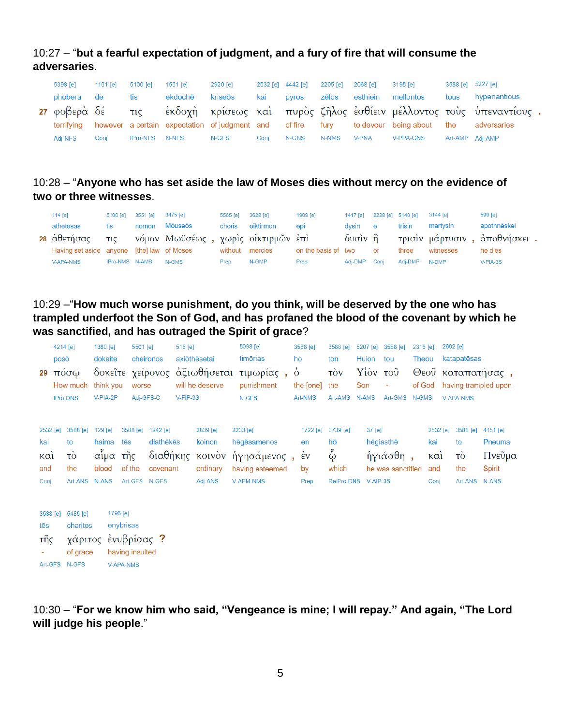# 10:27 – "**but a fearful expectation of judgment, and a fury of fire that will consume the adversaries**.

| 5398 [e]   | 1161 [e] | 5100 [e]       | 1561 [e] | 2920 [e]    |      | 2532 [e] 4442 [e] | 2205 [e] 2068 [e] |              | 3195 [e]                                                                                         | 3588 [e] 5227 [e]                                                                   |
|------------|----------|----------------|----------|-------------|------|-------------------|-------------------|--------------|--------------------------------------------------------------------------------------------------|-------------------------------------------------------------------------------------|
| phobera de |          | tis            | ekdochē  | kriseōs kai |      | <b>DVIOS</b>      | zēlos             |              | esthiein mellontos                                                                               | tous hypenantious                                                                   |
|            |          |                |          |             |      |                   |                   |              |                                                                                                  | 27 φοβερὰ δέ τις εκδοχὴ κρίσεως καὶ πυρὸς ζῆλος ἐσθίειν μέλλοντος τοὺς ὑπεναντίους. |
| terrifvina |          |                |          |             |      |                   |                   |              | however a certain expectation of judgment and of fire fury to devour being about the adversaries |                                                                                     |
| Adi-NFS    | Conj     | IPro-NFS N-NFS |          | N-GFS       | Coni | N-GNS             | N-NMS             | <b>V-PNA</b> | V-PPA-GNS                                                                                        | Art-AMP Adj-AMP                                                                     |

# 10:28 – "**Anyone who has set aside the law of Moses dies without mercy on the evidence of two or three witnesses**.

| 114 $[e]$                                  |                | 5100 [e] 3551 [e] 3475 [e] |                                                    | 5565 [e] 3628 [e] |                 | 1909 [e]            |              |                        | 1417 [e] 2228 [e] 5140 [e] 3144 [e] |           | 599 [e]                              |
|--------------------------------------------|----------------|----------------------------|----------------------------------------------------|-------------------|-----------------|---------------------|--------------|------------------------|-------------------------------------|-----------|--------------------------------------|
| athetēsas                                  | tis            | nomon                      | Mōuseōs                                            | chōris            | oiktirmōn       | epi                 | dvsin ē      |                        | trisin                              | martvsin  | apothnëskei                          |
|                                            |                |                            | 28 άθετήσας τις νόμον Μωϋσέως, χωρις οικτιρμῶν ἐπι |                   |                 |                     |              |                        |                                     |           | δυσίν ή τρισίν μάρτυσιν, αποθνήσκει. |
| Having set aside anyone [the] law of Moses |                |                            |                                                    |                   | without mercies | on the basis of two |              | $\overline{\text{or}}$ | three                               | witnesses | he dies                              |
| <b>V-APA-NMS</b>                           | IPro-NMS N-AMS |                            | N-GMS                                              | Prep              | N-GMP           | Prep                | Adi-DMP Coni |                        | Adi-DMP N-DMP                       |           | $V-PIA-3S$                           |

#### 10:29 –"**How much worse punishment, do you think, will be deserved by the one who has trampled underfoot the Son of God, and has profaned the blood of the covenant by which he was sanctified, and has outraged the Spirit of grace**?

| 29                                    | 4214 [e]<br>posō | πόσω<br>How much                                        | 1380 [e]<br>dokeite<br>think you             |                       | 5501 [e]<br>worse         | cheironos                                                      | 515 [e]  | axiōthēsetai<br>δοκεΐτε χείρονος αξιωθήσεται<br>will he deserve | 5098 [e]<br>timõrias<br>τιμωρίας<br>punishment                                       | $\delta$ | 3588 [e]<br>ho<br>the [one]                    | 3588 [e]<br>ton<br>$\vec{10v}$<br>the               | 5207 [e]<br>Huion<br>Son |                    | 3588 [e]<br>tou<br>Υίὸν τοῦ                | 2316 [e]<br>Theou<br>of God |                                                     | 2662 [e]         | katapatēsas         | Θεοῦ καταπατήσας,<br>having trampled upon              |
|---------------------------------------|------------------|---------------------------------------------------------|----------------------------------------------|-----------------------|---------------------------|----------------------------------------------------------------|----------|-----------------------------------------------------------------|--------------------------------------------------------------------------------------|----------|------------------------------------------------|-----------------------------------------------------|--------------------------|--------------------|--------------------------------------------|-----------------------------|-----------------------------------------------------|------------------|---------------------|--------------------------------------------------------|
|                                       |                  | <b>IPro-DNS</b>                                         | V-PIA-2P                                     |                       | Adj-GFS-C                 |                                                                | V-FIP-3S |                                                                 | N-GFS                                                                                |          | Art-NMS                                        | Art-AMS                                             | N-AMS                    |                    | Art-GMS                                    | N-GMS                       |                                                     | <b>V-APA-NMS</b> |                     |                                                        |
| 2532 [e]<br>kai<br>καὶ<br>and<br>Conj |                  | 3588 [e]<br>to<br>τò<br>the<br>Art-ANS                  | 129 [e]<br>haima<br>αἷμα ·<br>blood<br>N-ANS | tēs                   | 3588 [e]<br>τῆς<br>of the | 1242 [e]<br>diathēkēs<br>διαθήκης<br>covenant<br>Art-GFS N-GFS |          | 2839 [e]<br>koinon<br>ordinary<br>Adj-ANS                       | 2233 [e]<br>hēgēsamenos<br>κοινὸν ἡγησάμενος,<br>having esteemed<br><b>V-APM-NMS</b> |          | 1722 [e]<br>en<br>$\frac{1}{2}v$<br>by<br>Prep | 3739 [e]<br>hō<br>စို<br>which<br><b>RelPro-DNS</b> |                          | 37 [e]<br>V-AIP-3S | hēgiasthē<br>ήγιάσθη,<br>he was sanctified |                             | 2532 [e]<br>kai<br>$\kappa \alpha i$<br>and<br>Conj | to<br>τó<br>the  | 3588 [e]<br>Art-ANS | 4151 [e]<br>Pneuma<br>Πνεῦμα<br>Spirit<br><b>N-ANS</b> |
| 3588 [e]<br>tēs<br>τῆς                |                  | 5485 [e]<br>charitos<br>χάριτος ένυβρίσας ?<br>of grace |                                              | 1796 [e]<br>enybrisas | having insulted           |                                                                |          |                                                                 |                                                                                      |          |                                                |                                                     |                          |                    |                                            |                             |                                                     |                  |                     |                                                        |

10:30 – "**For we know him who said, "Vengeance is mine; I will repay." And again, "The Lord will judge his people**."

Art-GFS N-GFS V-APA-NMS